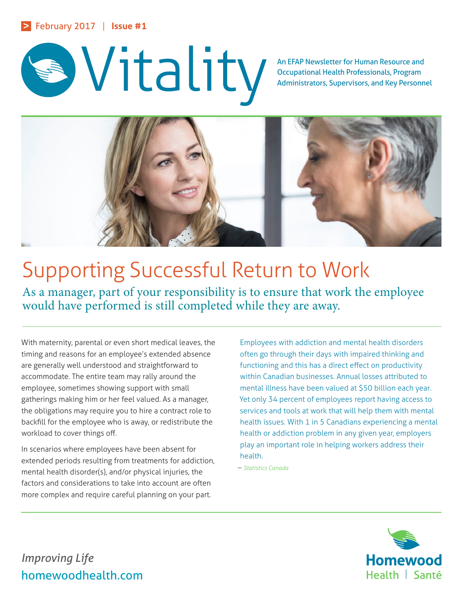

Occupational Health Professionals, Program Administrators, Supervisors, and Key Personnel



# Supporting Successful Return to Work

As a manager, part of your responsibility is to ensure that work the employee would have performed is still completed while they are away.

With maternity, parental or even short medical leaves, the timing and reasons for an employee's extended absence are generally well understood and straightforward to accommodate. The entire team may rally around the employee, sometimes showing support with small gatherings making him or her feel valued. As a manager, the obligations may require you to hire a contract role to backfill for the employee who is away, or redistribute the workload to cover things off.

In scenarios where employees have been absent for extended periods resulting from treatments for addiction, mental health disorder(s), and/or physical injuries, the factors and considerations to take into account are often more complex and require careful planning on your part.

Employees with addiction and mental health disorders often go through their days with impaired thinking and functioning and this has a direct effect on productivity within Canadian businesses. Annual losses attributed to mental illness have been valued at \$50 billion each year. Yet only 34 percent of employees report having access to services and tools at work that will help them with mental health issues. With 1 in 5 Canadians experiencing a mental health or addiction problem in any given year, employers play an important role in helping workers address their health.

– *Statistics Canada*



*Improving Life* homewoodhealth.com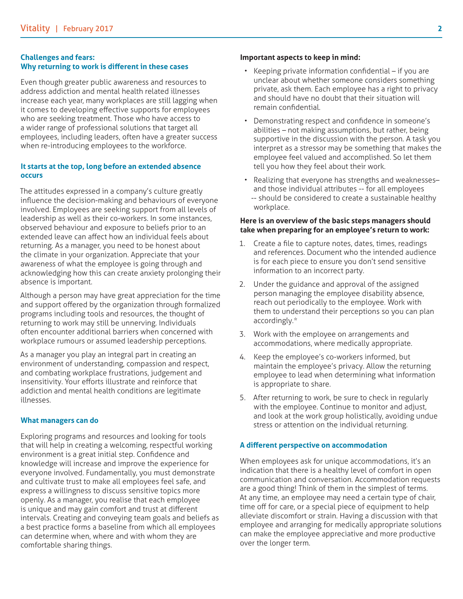#### **Challenges and fears: Why returning to work is different in these cases**

Even though greater public awareness and resources to address addiction and mental health related illnesses increase each year, many workplaces are still lagging when it comes to developing effective supports for employees who are seeking treatment. Those who have access to a wider range of professional solutions that target all employees, including leaders, often have a greater success when re-introducing employees to the workforce.

## **It starts at the top, long before an extended absence occurs**

The attitudes expressed in a company's culture greatly influence the decision-making and behaviours of everyone involved. Employees are seeking support from all levels of leadership as well as their co-workers. In some instances, observed behaviour and exposure to beliefs prior to an extended leave can affect how an individual feels about returning. As a manager, you need to be honest about the climate in your organization. Appreciate that your awareness of what the employee is going through and acknowledging how this can create anxiety prolonging their absence is important.

Although a person may have great appreciation for the time and support offered by the organization through formalized programs including tools and resources, the thought of returning to work may still be unnerving. Individuals often encounter additional barriers when concerned with workplace rumours or assumed leadership perceptions.

As a manager you play an integral part in creating an environment of understanding, compassion and respect, and combating workplace frustrations, judgement and insensitivity. Your efforts illustrate and reinforce that addiction and mental health conditions are legitimate illnesses.

## **What managers can do**

Exploring programs and resources and looking for tools that will help in creating a welcoming, respectful working environment is a great initial step. Confidence and knowledge will increase and improve the experience for everyone involved. Fundamentally, you must demonstrate and cultivate trust to make all employees feel safe, and express a willingness to discuss sensitive topics more openly. As a manager, you realise that each employee is unique and may gain comfort and trust at different intervals. Creating and conveying team goals and beliefs as a best practice forms a baseline from which all employees can determine when, where and with whom they are comfortable sharing things.

#### **Important aspects to keep in mind:**

- Keeping private information confidential if you are unclear about whether someone considers something private, ask them. Each employee has a right to privacy and should have no doubt that their situation will remain confidential.
- Demonstrating respect and confidence in someone's abilities – not making assumptions, but rather, being supportive in the discussion with the person. A task you interpret as a stressor may be something that makes the employee feel valued and accomplished. So let them tell you how they feel about their work.
- Realizing that everyone has strengths and weaknesses– and those individual attributes -- for all employees -- should be considered to create a sustainable healthy workplace.

#### **Here is an overview of the basic steps managers should take when preparing for an employee's return to work:**

- 1. Create a file to capture notes, dates, times, readings and references. Document who the intended audience is for each piece to ensure you don't send sensitive information to an incorrect party.
- 2. Under the guidance and approval of the assigned person managing the employee disability absence, reach out periodically to the employee. Work with them to understand their perceptions so you can plan accordingly.\*
- 3. Work with the employee on arrangements and accommodations, where medically appropriate.
- 4. Keep the employee's co-workers informed, but maintain the employee's privacy. Allow the returning employee to lead when determining what information is appropriate to share.
- 5. After returning to work, be sure to check in regularly with the employee. Continue to monitor and adjust, and look at the work group holistically, avoiding undue stress or attention on the individual returning.

## **A different perspective on accommodation**

When employees ask for unique accommodations, it's an indication that there is a healthy level of comfort in open communication and conversation. Accommodation requests are a good thing! Think of them in the simplest of terms. At any time, an employee may need a certain type of chair, time off for care, or a special piece of equipment to help alleviate discomfort or strain. Having a discussion with that employee and arranging for medically appropriate solutions can make the employee appreciative and more productive over the longer term.